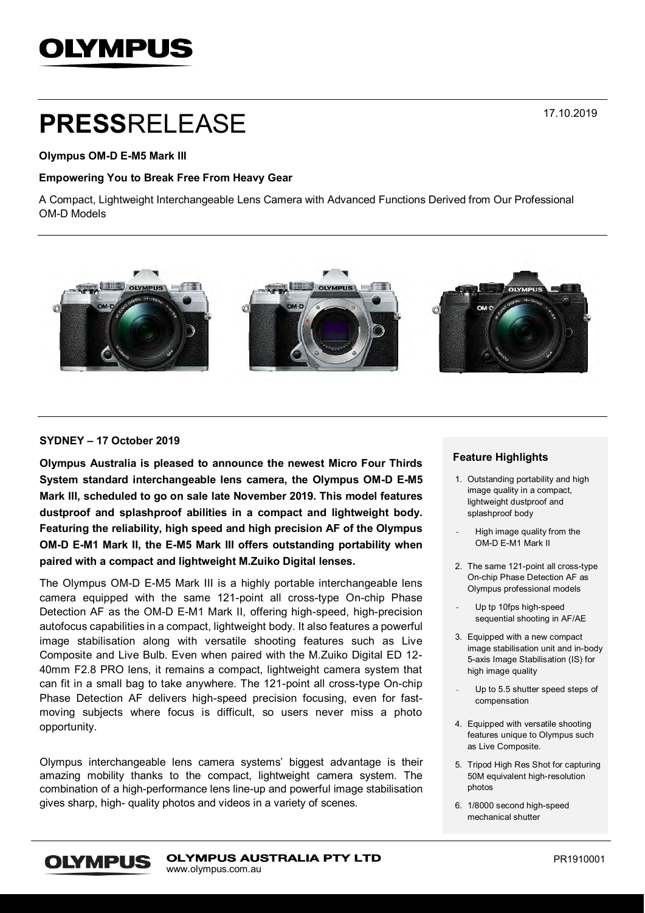# **OLYMPUS**

# **PRESS**RELEASE

# **Olympus OM-D E-M5 Mark III**

### **Empowering You to Break Free From Heavy Gear**

A Compact, Lightweight Interchangeable Lens Camera with Advanced Functions Derived from Our Professional OM-D Models



# **SYDNEY – 17 October 2019**

**Olympus Australia is pleased to announce the newest Micro Four Thirds System standard interchangeable lens camera, the Olympus OM-D E-M5 Mark III, scheduled to go on sale late November 2019. This model features dustproof and splashproof abilities in a compact and lightweight body. Featuring the reliability, high speed and high precision AF of the Olympus OM-D E-M1 Mark II, the E-M5 Mark III offers outstanding portability when paired with a compact and lightweight M.Zuiko Digital lenses.**

The Olympus OM-D E-M5 Mark III is a highly portable interchangeable lens camera equipped with the same 121-point all cross-type On-chip Phase Detection AF as the OM-D E-M1 Mark II, offering high-speed, high-precision autofocus capabilities in a compact, lightweight body. It also features a powerful image stabilisation along with versatile shooting features such as Live Composite and Live Bulb. Even when paired with the M.Zuiko Digital ED 12- 40mm F2.8 PRO lens, it remains a compact, lightweight camera system that can fit in a small bag to take anywhere. The 121-point all cross-type On-chip Phase Detection AF delivers high-speed precision focusing, even for fastmoving subjects where focus is difficult, so users never miss a photo opportunity.

Olympus interchangeable lens camera systems' biggest advantage is their amazing mobility thanks to the compact, lightweight camera system. The combination of a high-performance lens line-up and powerful image stabilisation gives sharp, high- quality photos and videos in a variety of scenes.

### **Feature Highlights**

- 1. Outstanding portability and high image quality in a compact, lightweight dustproof and splashproof body
- High image quality from the OM-D E-M1 Mark II
- 2. The same 121-point all cross-type On-chip Phase Detection AF as Olympus professional models

Up tp 10fps high-speed sequential shooting in AF/AE

- 3. Equipped with a new compact image stabilisation unit and in-body 5-axis Image Stabilisation (IS) for high image quality
- Up to 5.5 shutter speed steps of compensation
- 4. Equipped with versatile shooting features unique to Olympus such as Live Composite.
- 5. Tripod High Res Shot for capturing 50M equivalent high-resolution photos
- 6. 1/8000 second high-speed mechanical shutter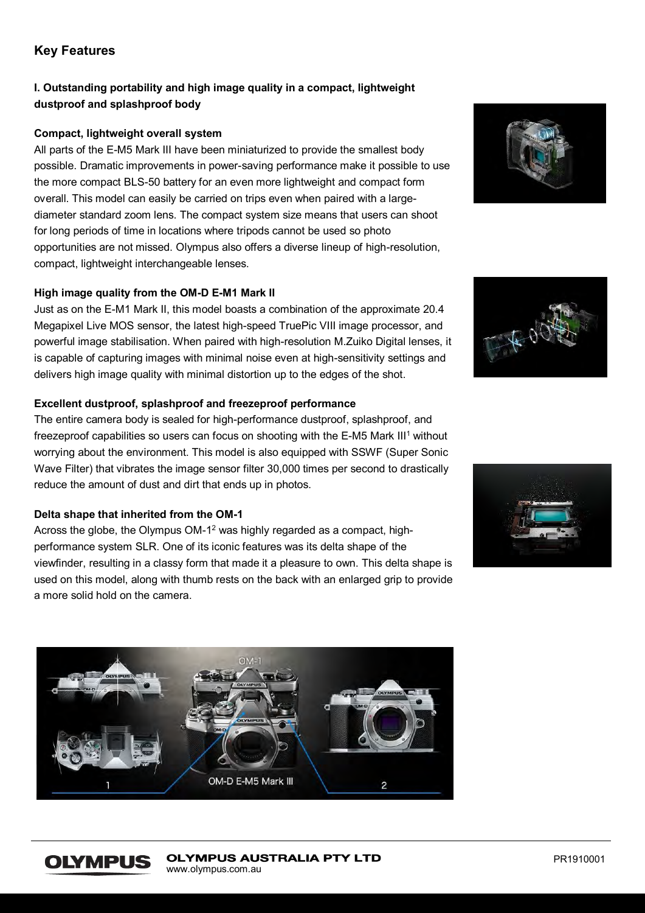# **Key Features**

# **I. Outstanding portability and high image quality in a compact, lightweight dustproof and splashproof body**

# **Compact, lightweight overall system**

All parts of the E-M5 Mark III have been miniaturized to provide the smallest body possible. Dramatic improvements in power-saving performance make it possible to use the more compact BLS-50 battery for an even more lightweight and compact form overall. This model can easily be carried on trips even when paired with a largediameter standard zoom lens. The compact system size means that users can shoot for long periods of time in locations where tripods cannot be used so photo opportunities are not missed. Olympus also offers a diverse lineup of high-resolution, compact, lightweight interchangeable lenses.

# **High image quality from the OM-D E-M1 Mark II**

Just as on the E-M1 Mark II, this model boasts a combination of the approximate 20.4 Megapixel Live MOS sensor, the latest high-speed TruePic VIII image processor, and powerful image stabilisation. When paired with high-resolution M.Zuiko Digital lenses, it is capable of capturing images with minimal noise even at high-sensitivity settings and delivers high image quality with minimal distortion up to the edges of the shot.

# **Excellent dustproof, splashproof and freezeproof performance**

The entire camera body is sealed for high-performance dustproof, splashproof, and freezeproof capabilities so users can focus on shooting with the E-M5 Mark III<sup>1</sup> without worrying about the environment. This model is also equipped with SSWF (Super Sonic Wave Filter) that vibrates the image sensor filter 30,000 times per second to drastically reduce the amount of dust and dirt that ends up in photos.

# **Delta shape that inherited from the OM-1**

Across the globe, the Olympus OM-1<sup>2</sup> was highly regarded as a compact, highperformance system SLR. One of its iconic features was its delta shape of the viewfinder, resulting in a classy form that made it a pleasure to own. This delta shape is used on this model, along with thumb rests on the back with an enlarged grip to provide a more solid hold on the camera.







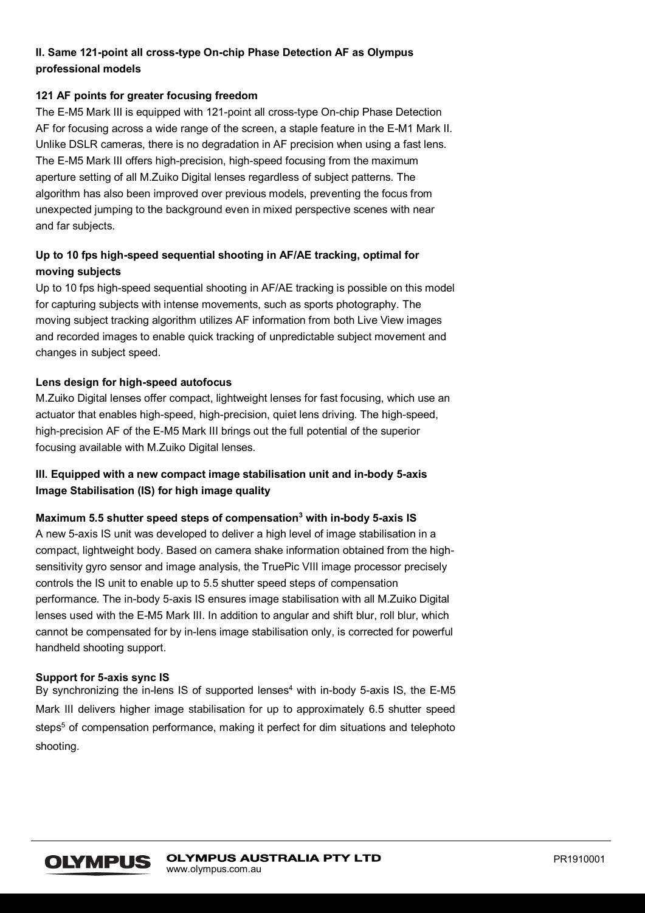# **II. Same 121-point all cross-type On-chip Phase Detection AF as Olympus professional models**

# **121 AF points for greater focusing freedom**

The E-M5 Mark III is equipped with 121-point all cross-type On-chip Phase Detection AF for focusing across a wide range of the screen, a staple feature in the E-M1 Mark II. Unlike DSLR cameras, there is no degradation in AF precision when using a fast lens. The E-M5 Mark III offers high-precision, high-speed focusing from the maximum aperture setting of all M.Zuiko Digital lenses regardless of subject patterns. The algorithm has also been improved over previous models, preventing the focus from unexpected jumping to the background even in mixed perspective scenes with near and far subjects.

# **Up to 10 fps high-speed sequential shooting in AF/AE tracking, optimal for moving subjects**

Up to 10 fps high-speed sequential shooting in AF/AE tracking is possible on this model for capturing subjects with intense movements, such as sports photography. The moving subject tracking algorithm utilizes AF information from both Live View images and recorded images to enable quick tracking of unpredictable subject movement and changes in subject speed.

# **Lens design for high-speed autofocus**

M.Zuiko Digital lenses offer compact, lightweight lenses for fast focusing, which use an actuator that enables high-speed, high-precision, quiet lens driving. The high-speed, high-precision AF of the E-M5 Mark III brings out the full potential of the superior focusing available with M.Zuiko Digital lenses.

# **III. Equipped with a new compact image stabilisation unit and in-body 5-axis Image Stabilisation (IS) for high image quality**

### **Maximum 5.5 shutter speed steps of compensation<sup>3</sup> with in-body 5-axis IS**

A new 5-axis IS unit was developed to deliver a high level of image stabilisation in a compact, lightweight body. Based on camera shake information obtained from the highsensitivity gyro sensor and image analysis, the TruePic VIII image processor precisely controls the IS unit to enable up to 5.5 shutter speed steps of compensation performance. The in-body 5-axis IS ensures image stabilisation with all M.Zuiko Digital lenses used with the E-M5 Mark III. In addition to angular and shift blur, roll blur, which cannot be compensated for by in-lens image stabilisation only, is corrected for powerful handheld shooting support.

### **Support for 5-axis sync IS**

By synchronizing the in-lens IS of supported lenses<sup>4</sup> with in-body 5-axis IS, the  $E-M5$ Mark III delivers higher image stabilisation for up to approximately 6.5 shutter speed steps<sup>5</sup> of compensation performance, making it perfect for dim situations and telephoto shooting.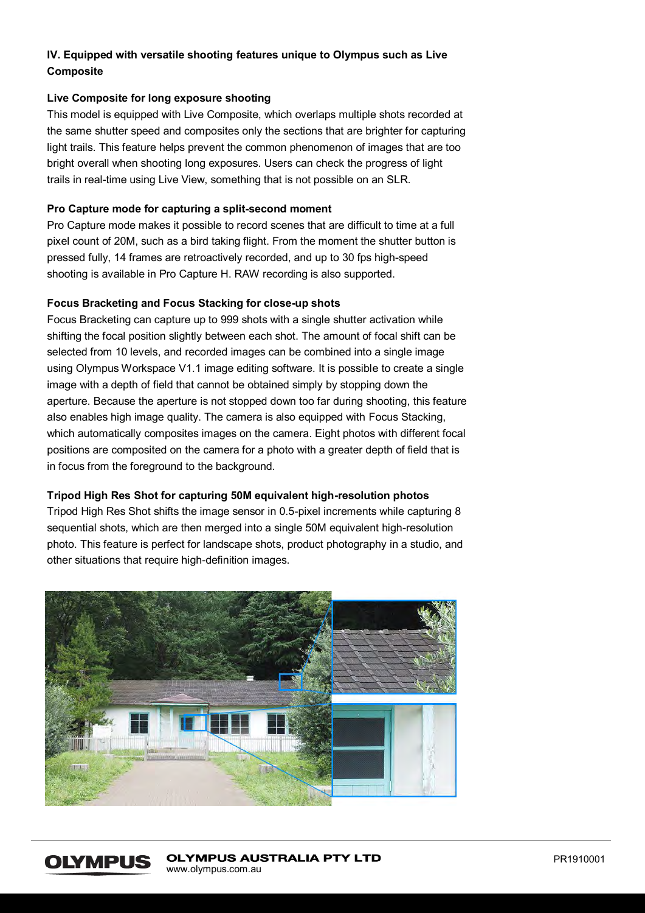# **IV. Equipped with versatile shooting features unique to Olympus such as Live Composite**

# **Live Composite for long exposure shooting**

This model is equipped with Live Composite, which overlaps multiple shots recorded at the same shutter speed and composites only the sections that are brighter for capturing light trails. This feature helps prevent the common phenomenon of images that are too bright overall when shooting long exposures. Users can check the progress of light trails in real-time using Live View, something that is not possible on an SLR.

# **Pro Capture mode for capturing a split-second moment**

Pro Capture mode makes it possible to record scenes that are difficult to time at a full pixel count of 20M, such as a bird taking flight. From the moment the shutter button is pressed fully, 14 frames are retroactively recorded, and up to 30 fps high-speed shooting is available in Pro Capture H. RAW recording is also supported.

# **Focus Bracketing and Focus Stacking for close-up shots**

Focus Bracketing can capture up to 999 shots with a single shutter activation while shifting the focal position slightly between each shot. The amount of focal shift can be selected from 10 levels, and recorded images can be combined into a single image using Olympus Workspace V1.1 image editing software. It is possible to create a single image with a depth of field that cannot be obtained simply by stopping down the aperture. Because the aperture is not stopped down too far during shooting, this feature also enables high image quality. The camera is also equipped with Focus Stacking, which automatically composites images on the camera. Eight photos with different focal positions are composited on the camera for a photo with a greater depth of field that is in focus from the foreground to the background.

### **Tripod High Res Shot for capturing 50M equivalent high-resolution photos**

Tripod High Res Shot shifts the image sensor in 0.5-pixel increments while capturing 8 sequential shots, which are then merged into a single 50M equivalent high-resolution photo. This feature is perfect for landscape shots, product photography in a studio, and other situations that require high-definition images.



#### **OLYMPUS AUSTRALIA PTY LTD OLYMPUS** www.olympus.com.au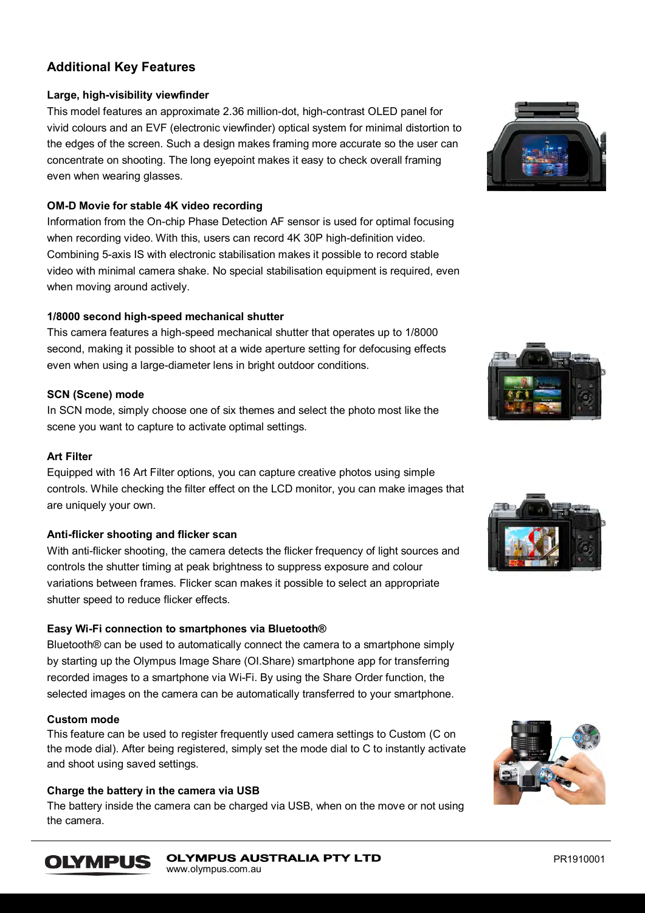# **Additional Key Features**

# **Large, high-visibility viewfinder**

This model features an approximate 2.36 million-dot, high-contrast OLED panel for vivid colours and an EVF (electronic viewfinder) optical system for minimal distortion to the edges of the screen. Such a design makes framing more accurate so the user can concentrate on shooting. The long eyepoint makes it easy to check overall framing even when wearing glasses.

# **OM-D Movie for stable 4K video recording**

Information from the On-chip Phase Detection AF sensor is used for optimal focusing when recording video. With this, users can record 4K 30P high-definition video. Combining 5-axis IS with electronic stabilisation makes it possible to record stable video with minimal camera shake. No special stabilisation equipment is required, even when moving around actively.

# **1/8000 second high-speed mechanical shutter**

This camera features a high-speed mechanical shutter that operates up to 1/8000 second, making it possible to shoot at a wide aperture setting for defocusing effects even when using a large-diameter lens in bright outdoor conditions.

# **SCN (Scene) mode**

In SCN mode, simply choose one of six themes and select the photo most like the scene you want to capture to activate optimal settings.

# **Art Filter**

Equipped with 16 Art Filter options, you can capture creative photos using simple controls. While checking the filter effect on the LCD monitor, you can make images that are uniquely your own.

### **Anti-flicker shooting and flicker scan**

With anti-flicker shooting, the camera detects the flicker frequency of light sources and controls the shutter timing at peak brightness to suppress exposure and colour variations between frames. Flicker scan makes it possible to select an appropriate shutter speed to reduce flicker effects.

# **Easy Wi-Fi connection to smartphones via Bluetooth®**

Bluetooth® can be used to automatically connect the camera to a smartphone simply by starting up the Olympus Image Share (OI.Share) smartphone app for transferring recorded images to a smartphone via Wi-Fi. By using the Share Order function, the selected images on the camera can be automatically transferred to your smartphone.

# **Custom mode**

**OLYMPUS** 

This feature can be used to register frequently used camera settings to Custom (C on the mode dial). After being registered, simply set the mode dial to C to instantly activate and shoot using saved settings.

### **Charge the battery in the camera via USB**

The battery inside the camera can be charged via USB, when on the move or not using the camera.







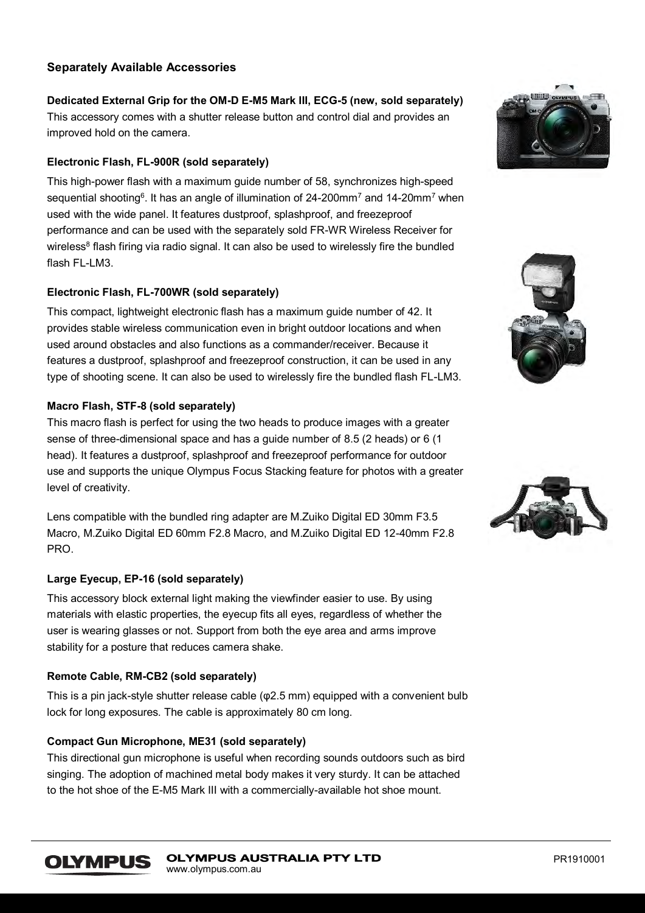# **Separately Available Accessories**

**Dedicated External Grip for the OM-D E-M5 Mark III, ECG-5 (new, sold separately)** This accessory comes with a shutter release button and control dial and provides an improved hold on the camera.

# **Electronic Flash, FL-900R (sold separately)**

This high-power flash with a maximum guide number of 58, synchronizes high-speed sequential shooting<sup>6</sup>. It has an angle of illumination of 24-200mm<sup>7</sup> and 14-20mm<sup>7</sup> when used with the wide panel. It features dustproof, splashproof, and freezeproof performance and can be used with the separately sold FR-WR Wireless Receiver for wireless $^8$  flash firing via radio signal. It can also be used to wirelessly fire the bundled flash  $FI$ -LM3.

# **Electronic Flash, FL-700WR (sold separately)**

This compact, lightweight electronic flash has a maximum guide number of 42. It provides stable wireless communication even in bright outdoor locations and when used around obstacles and also functions as a commander/receiver. Because it features a dustproof, splashproof and freezeproof construction, it can be used in any type of shooting scene. It can also be used to wirelessly fire the bundled flash FL-LM3.

# **Macro Flash, STF-8 (sold separately)**

This macro flash is perfect for using the two heads to produce images with a greater sense of three-dimensional space and has a guide number of 8.5 (2 heads) or 6 (1 head). It features a dustproof, splashproof and freezeproof performance for outdoor use and supports the unique Olympus Focus Stacking feature for photos with a greater level of creativity.

Lens compatible with the bundled ring adapter are M.Zuiko Digital ED 30mm F3.5 Macro, M.Zuiko Digital ED 60mm F2.8 Macro, and M.Zuiko Digital ED 12-40mm F2.8 PRO.

### **Large Eyecup, EP-16 (sold separately)**

This accessory block external light making the viewfinder easier to use. By using materials with elastic properties, the eyecup fits all eyes, regardless of whether the user is wearing glasses or not. Support from both the eye area and arms improve stability for a posture that reduces camera shake.

### **Remote Cable, RM-CB2 (sold separately)**

This is a pin jack-style shutter release cable (φ2.5 mm) equipped with a convenient bulb lock for long exposures. The cable is approximately 80 cm long.

# **Compact Gun Microphone, ME31 (sold separately)**

This directional gun microphone is useful when recording sounds outdoors such as bird singing. The adoption of machined metal body makes it very sturdy. It can be attached to the hot shoe of the E-M5 Mark III with a commercially-available hot shoe mount.





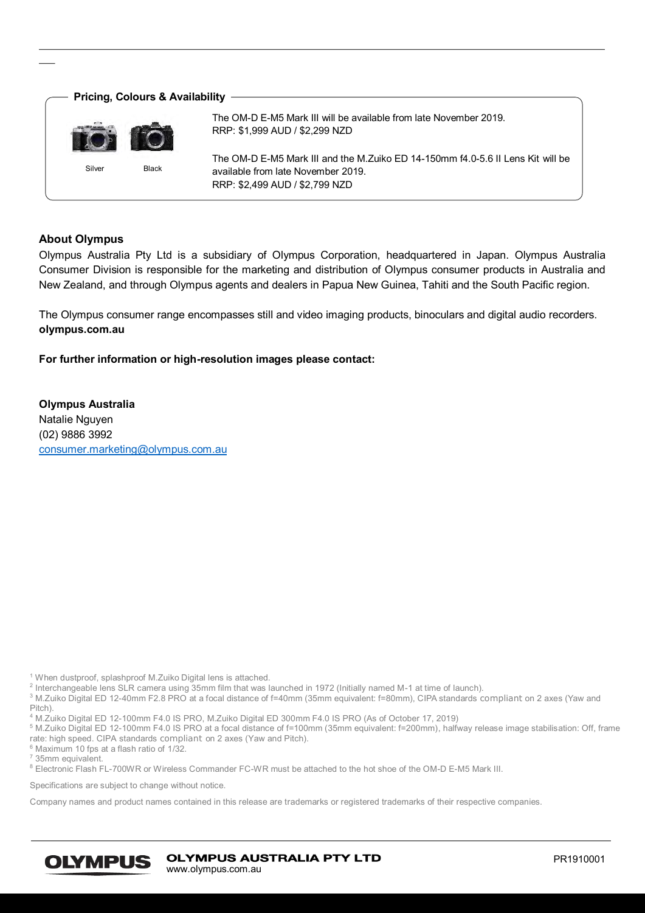

# **About Olympus**

Olympus Australia Pty Ltd is a subsidiary of Olympus Corporation, headquartered in Japan. Olympus Australia Consumer Division is responsible for the marketing and distribution of Olympus consumer products in Australia and New Zealand, and through Olympus agents and dealers in Papua New Guinea, Tahiti and the South Pacific region.

The Olympus consumer range encompasses still and video imaging products, binoculars and digital audio recorders. **olympus.com.au**

**For further information or high-resolution images please contact:** 

**Olympus Australia**  Natalie Nguyen (02) 9886 3992 [consumer.marketing@olympus.com.au](mailto:consumer.marketing@olympus.com.au)

<sup>1</sup> When dustproof, splashproof M.Zuiko Digital lens is attached.

 $^2$  Interchangeable lens SLR camera using 35mm film that was launched in 1972 (Initially named M-1 at time of launch). <sup>3</sup> M.Zuiko Digital ED 12-40mm F2.8 PRO at a focal distance of f=40mm (35mm equivalent: f=80mm), CIPA standards compliant on 2 axes (Yaw and

Pitch).

<sup>4</sup> M.Zuiko Digital ED 12-100mm F4.0 IS PRO, M.Zuiko Digital ED 300mm F4.0 IS PRO (As of October 17, 2019)

<sup>5</sup> M.Zuiko Digital ED 12-100mm F4.0 IS PRO at a focal distance of f=100mm (35mm equivalent: f=200mm), halfway release image stabilisation: Off, frame rate: high speed. CIPA standards compliant on 2 axes (Yaw and Pitch).

 $6$  Maximum 10 fps at a flash ratio of 1/32.

 $7\overline{35}$ mm equivalent.

8 Electronic Flash FL-700WR or Wireless Commander FC-WR must be attached to the hot shoe of the OM-D E-M5 Mark III.

Specifications are subject to change without notice.

Company names and product names contained in this release are trademarks or registered trademarks of their respective companies.